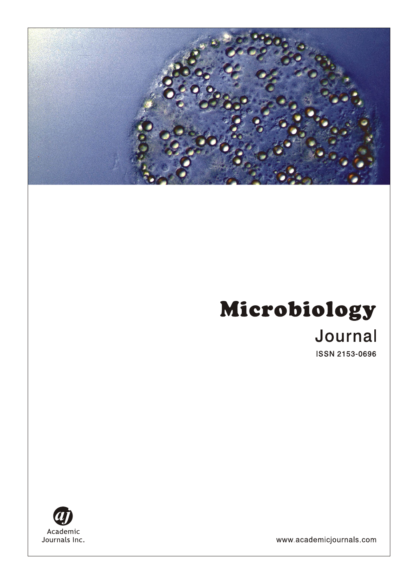# Microbiology Journal

**ISSN 2153-0696** 



www.academicjournals.com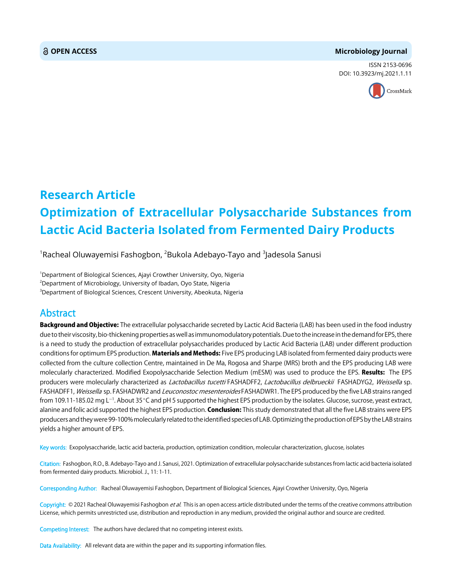#### **OPEN ACCESS Microbiology Journal**

ISSN 2153-0696 DOI: 10.3923/mj.2021.1.11



## **Research Article Optimization of Extracellular Polysaccharide Substances from Lactic Acid Bacteria Isolated from Fermented Dairy Products**

 $^{\rm 1}$ Racheal Oluwayemisi Fashogbon,  $^{\rm 2}$ Bukola Adebayo-Tayo and  $^{\rm 3}$ Jadesola Sanusi

<sup>1</sup>Department of Biological Sciences, Ajayi Crowther University, Oyo, Nigeria 2 Department of Microbiology, University of Ibadan, Oyo State, Nigeria  $^3$ Department of Biological Sciences, Crescent University, Abeokuta, Nigeria

### Abstract

Background and Objective: The extracellular polysaccharide secreted by Lactic Acid Bacteria (LAB) has been used in the food industry due to their viscosity, bio-thickening properties as well as immunomodulatory potentials. Due to the increase in the demand for EPS, there is a need to study the production of extracellular polysaccharides produced by Lactic Acid Bacteria (LAB) under different production conditions for optimum EPS production. Materials and Methods: Five EPS producing LAB isolated from fermented dairy products were collected from the culture collection Centre, maintained in De Ma, Rogosa and Sharpe (MRS) broth and the EPS producing LAB were molecularly characterized. Modified Exopolysaccharide Selection Medium (mESM) was used to produce the EPS. Results: The EPS producers were molecularly characterized as Lactobacillus tucetti FASHADFF2, Lactobacillus delbrueckii FASHADYG2, Weissella sp. FASHADFF1, Weissella sp. FASHADWR2 and Leuconostoc mesenteroides FASHADWR1. The EPS produced by the five LAB strains ranged from 109.11-185.02 mg L<sup>-1</sup>. About 35°C and pH 5 supported the highest EPS production by the isolates. Glucose, sucrose, yeast extract, alanine and folic acid supported the highest EPS production. Conclusion: This study demonstrated that all the five LAB strains were EPS producers and they were 99-100% molecularly related to the identified species of LAB. Optimizing the production of EPS by the LAB strains yields a higher amount of EPS.

Key words: Exopolysaccharide, lactic acid bacteria, production, optimization condition, molecular characterization, glucose, isolates

Citation: Fashogbon, R.O., B. Adebayo-Tayo and J. Sanusi, 2021. Optimization of extracellular polysaccharide substances from lactic acid bacteria isolated from fermented dairy products. Microbiol. J., 11: 1-11.

Corresponding Author: Racheal Oluwayemisi Fashogbon, Department of Biological Sciences, Ajayi Crowther University, Oyo, Nigeria

Copyright: © 2021 Racheal Oluwayemisi Fashogbon et al. This is an open access article distributed under the terms of the creative commons attribution License, which permits unrestricted use, distribution and reproduction in any medium, provided the original author and source are credited.

Competing Interest: The authors have declared that no competing interest exists.

Data Availability: All relevant data are within the paper and its supporting information files.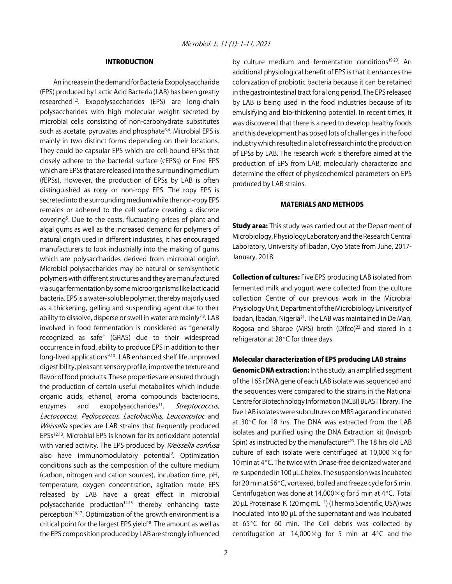#### INTRODUCTION

An increase in the demand for Bacteria Exopolysaccharide (EPS) produced by Lactic Acid Bacteria (LAB) has been greatly researched<sup>1,2</sup>. Exopolysaccharides (EPS) are long-chain polysaccharides with high molecular weight secreted by microbial cells consisting of non-carbohydrate substitutes such as acetate, pyruvates and phosphate<sup>3,4</sup>. Microbial EPS is mainly in two distinct forms depending on their locations. They could be capsular EPS which are cell-bound EPSs that closely adhere to the bacterial surface (cEPSs) or Free EPS which are EPSs that are released into the surrounding medium (fEPSs). However, the production of EPSs by LAB is often distinguished as ropy or non-ropy EPS. The ropy EPS is secreted into the surrounding medium while the non-ropy EPS remains or adhered to the cell surface creating a discrete covering<sup>5</sup>. Due to the costs, fluctuating prices of plant and algal gums as well as the increased demand for polymers of natural origin used in different industries, it has encouraged manufacturers to look industrially into the making of gums which are polysaccharides derived from microbial origin<sup>6</sup>. Microbial polysaccharides may be natural or semisynthetic polymers with different structures and they are manufactured via sugar fermentation by some microorganisms like lactic acid bacteria. EPS is a water-soluble polymer, thereby majorly used as a thickening, gelling and suspending agent due to their ability to dissolve, disperse or swell in water are mainly $7,8$ . LAB involved in food fermentation is considered as "generally recognized as safe" (GRAS) due to their widespread occurrence in food, ability to produce EPS in addition to their long-lived applications<sup>9,10</sup>. LAB enhanced shelf life, improved digestibility, pleasant sensory profile, improve the texture and flavor of food products. These properties are ensured through the production of certain useful metabolites which include organic acids, ethanol, aroma compounds bacteriocins, enzymes and exopolysaccharides<sup>11</sup>. Streptococcus, Lactococcus, Pediococcus, Lactobacillus, Leuconostoc and Weissella species are LAB strains that frequently produced EPSs12,13. Microbial EPS is known for its antioxidant potential with varied activity. The EPS produced by Weissella confusa also have immunomodulatory potential<sup>2</sup>. Optimization conditions such as the composition of the culture medium (carbon, nitrogen and cation sources), incubation time, pH, temperature, oxygen concentration, agitation made EPS released by LAB have a great effect in microbial polysaccharide production<sup>14,15</sup> thereby enhancing taste perception<sup>16,17</sup>. Optimization of the growth environment is a critical point for the largest EPS yield<sup>18</sup>. The amount as well as the EPS composition produced by LAB are strongly influenced

by culture medium and fermentation conditions<sup>19,20</sup>. An additional physiological benefit of EPS is that it enhances the colonization of probiotic bacteria because it can be retained in the gastrointestinal tract for a long period. The EPS released by LAB is being used in the food industries because of its emulsifying and bio-thickening potential. In recent times, it was discovered that there is a need to develop healthy foods and this development has posed lots of challenges in the food industry which resulted in a lot of research into the production of EPSs by LAB. The research work is therefore aimed at the production of EPS from LAB, molecularly characterize and determine the effect of physicochemical parameters on EPS produced by LAB strains.

#### MATERIALS AND METHODS

**Study area:** This study was carried out at the Department of Microbiology, Physiology Laboratory and the Research Central Laboratory, University of Ibadan, Oyo State from June, 2017- January, 2018.

Collection of cultures: Five EPS producing LAB isolated from fermented milk and yogurt were collected from the culture collection Centre of our previous work in the Microbial Physiology Unit, Department of the Microbiology University of Ibadan, Ibadan, Nigeria<sup>21</sup>. The LAB was maintained in De Man, Rogosa and Sharpe (MRS) broth (Difco)<sup>22</sup> and stored in a refrigerator at  $28^{\circ}$ C for three days.

#### Molecular characterization of EPS producing LAB strains

Genomic DNA extraction: In this study, an amplified segment of the 16S rDNA gene of each LAB isolate was sequenced and the sequences were compared to the strains in the National Centre for Biotechnology Information (NCBI) BLAST library. The five LAB isolates were subcultures on MRS agar and incubated at 30 $\degree$ C for 18 hrs. The DNA was extracted from the LAB isolates and purified using the DNA Extraction kit (Invisorb Spin) as instructed by the manufacturer<sup>23</sup>. The 18 hrs old LAB culture of each isolate were centrifuged at 10,000  $\times$ q for 10 min at 4°C. The twice with Dnase-free deionized water and re-suspended in 100 µL Chelex. The suspension was incubated for 20 min at 56°C, vortexed, boiled and freeze cycle for 5 min. Centrifugation was done at  $14,000 \times g$  for 5 min at 4°C. Total 20 μL Proteinase K (20 mg mL<sup>-1</sup>) (Thermo Scientific, USA) was inoculated into 80 µL of the supernatant and was incubated at  $65^{\circ}$ C for 60 min. The Cell debris was collected by centrifugation at 14,000 $\times$ g for 5 min at 4°C and the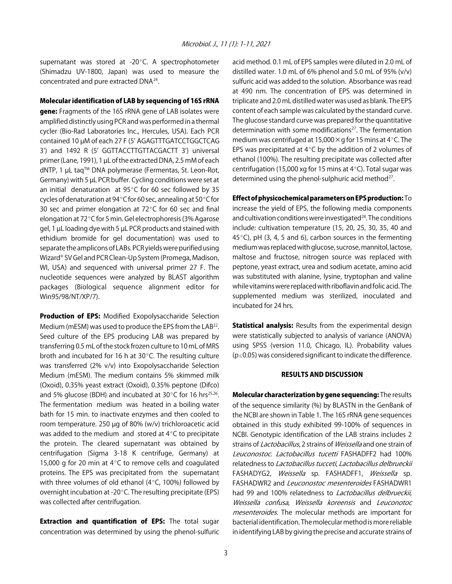supernatant was stored at  $-20^{\circ}$ C. A spectrophotometer (Shimadzu UV-1800, Japan) was used to measure the concentrated and pure extracted DNA24.

#### Molecular identification of LAB by sequencing of 16S rRNA

gene: Fragments of the 16S rRNA gene of LAB isolates were amplified distinctly using PCR and was performed in a thermal cycler (Bio-Rad Laboratories Inc., Hercules, USA). Each PCR contained 10 µM of each 27 F (5' AGAGTTTGATCCTGGCTCAG 3') and 1492 R (5' GGTTACCTTGTTACGACTT 3') universal primer (Lane, 1991), 1 µL of the extracted DNA, 2.5 mM of each dNTP, 1 µL taq™ DNA polymerase (Fermentas, St. Leon-Rot, Germany) with 5 µL PCR buffer. Cycling conditions were set at an initial denaturation at  $95^{\circ}$ C for 60 sec followed by 35 cycles of denaturation at 94°C for 60 sec, annealing at 50°C for 30 sec and primer elongation at  $72^{\circ}$ C for 60 sec and final elongation at 72°C for 5 min. Gel electrophoresis (3% Agarose gel, 1 µL loading dye with 5 µL PCR products and stained with ethidium bromide for gel documentation) was used to separate the amplicons of LABs. PCR yields were purified using Wizard® SV Gel and PCR Clean-Up System (Promega, Madison, WI, USA) and sequenced with universal primer 27 F. The nucleotide sequences were analyzed by BLAST algorithm packages (Biological sequence alignment editor for Win95/98/NT/XP/7).

Production of EPS: Modified Exopolysaccharide Selection Medium (mESM) was used to produce the EPS from the LAB<sup>22</sup>. Seed culture of the EPS producing LAB was prepared by transferring 0.5 mL of the stock frozen culture to 10 mL of MRS broth and incubated for 16 h at  $30^{\circ}$ C. The resulting culture was transferred (2% v/v) into Exopolysaccharide Selection Medium (mESM). The medium contains 5% skimmed milk (Oxoid), 0.35% yeast extract (Oxoid), 0.35% peptone (Difco) and 5% glucose (BDH) and incubated at 30 $\degree$ C for 16 hrs<sup>25,26</sup>. The fermentation medium was heated in a boiling water bath for 15 min. to inactivate enzymes and then cooled to room temperature. 250 µg of 80% (w/v) trichloroacetic acid was added to the medium and stored at  $4^{\circ}$ C to precipitate the protein. The cleared supernatant was obtained by centrifugation (Sigma 3-18 K centrifuge, Germany) at 15,000 g for 20 min at  $4^{\circ}$ C to remove cells and coagulated proteins. The EPS was precipitated from the supernatant with three volumes of old ethanol ( $4^{\circ}$ C, 100%) followed by overnight incubation at -20 $^{\circ}$ C. The resulting precipitate (EPS) was collected after centrifugation.

**Extraction and quantification of EPS:** The total sugar concentration was determined by using the phenol-sulfuric acid method. 0.1 mL of EPS samples were diluted in 2.0 mL of distilled water. 1.0 mL of 6% phenol and 5.0 mL of 95% (v/v) sulfuric acid was added to the solution. Absorbance was read at 490 nm. The concentration of EPS was determined in triplicate and 2.0 mL distilled water was used as blank. The EPS content of each sample was calculated by the standard curve. The glucose standard curve was prepared for the quantitative determination with some modifications<sup>27</sup>. The fermentation medium was centrifuged at 15,000  $\times$  g for 15 mins at 4 $\degree$ C. The EPS was precipitated at  $4^{\circ}$ C by the addition of 2 volumes of ethanol (100%). The resulting precipitate was collected after centrifugation (15,000 xg for 15 mins at  $4^{\circ}$ C). Total sugar was determined using the phenol-sulphuric acid method<sup>27</sup>.

#### Effect of physicochemical parameters on EPS production: To

increase the yield of EPS, the following media components and cultivation conditions were investigated<sup>28</sup>. The conditions include: cultivation temperature (15, 20, 25, 30, 35, 40 and 45 $\degree$ C), pH (3, 4, 5 and 6), carbon sources in the fermenting medium was replaced with glucose, sucrose, mannitol, lactose, maltose and fructose, nitrogen source was replaced with peptone, yeast extract, urea and sodium acetate, amino acid was substituted with alanine, lysine, tryptophan and valine while vitamins were replaced with riboflavin and folic acid. The supplemented medium was sterilized, inoculated and incubated for 24 hrs.

Statistical analysis: Results from the experimental design were statistically subjected to analysis of variance (ANOVA) using SPSS (version 11.0, Chicago, IL). Probability values ( $p \leq 0.05$ ) was considered significant to indicate the difference.

#### RESULTS AND DISCUSSION

Molecular characterization by gene sequencing: The results of the sequence similarity (%) by BLASTN in the GenBank of the NCBI are shown in Table 1. The 16S rRNA gene sequences obtained in this study exhibited 99-100% of sequences in NCBI. Genotypic identification of the LAB strains includes 2 strains of *Lactobacillus*, 2 strains of *Weissella* and one strain of Leuconostoc. Lactobacillus tucetti FASHADFF2 had 100% relatedness to Lactobacillus tucceti, Lactobacillus delbrueckii FASHADYG2, Weissella sp. FASHADFF1, Weissella sp. FASHADWR2 and Leuconostoc mesenteroides FASHADWR1 had 99 and 100% relatedness to *Lactobacillus delbrueckii*, Weissella confusa, Weissella koreensis and Leuconotoc mesenteroides. The molecular methods are important for bacterial identification. The molecular method is more reliable in identifying LAB by giving the precise and accurate strains of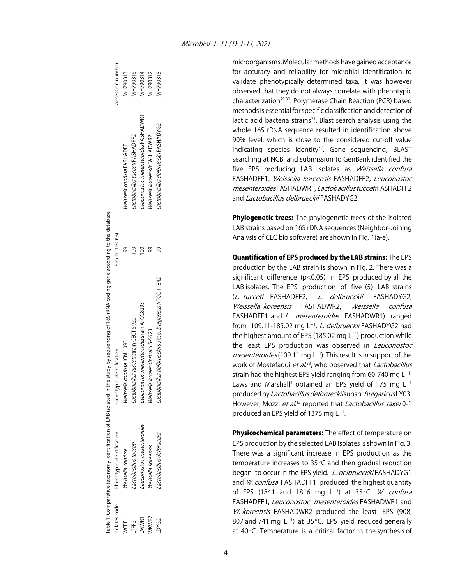microorganisms. Molecular methods have gained acceptance for accuracy and reliability for microbial identification to validate phenotypically determined taxa, it was however observed that they do not always correlate with phenotypic characterization<sup>29,30</sup>. Polymerase Chain Reaction (PCR) based methods is essential for specific classification and detection of lactic acid bacteria strains<sup>31</sup>. Blast search analysis using the whole 16S rRNA sequence resulted in identification above 90% level, which is close to the considered cut-off value indicating species identity<sup>32</sup>. Gene sequencing, BLAST searching at NCBI and submission to GenBank identified the five EPS producing LAB isolates as Weissella confusa FASHADFF1, Weissella koreensis FASHADFF2, Leuconostoc mesenteroides FASHADWR1, Lactobacillus tucceti FASHADFF2 and Lactobacillus delbrueckii FASHADYG2.

**Phylogenetic trees:** The phylogenetic trees of the isolated LAB strains based on 16S rDNA sequences (Neighbor-Joining Analysis of CLC bio software) are shown in Fig. 1(a-e).

Quantification of EPS produced by the LAB strains: The EPS production by the LAB strain is shown in Fig. 2. There was a significant difference (p<0.05) in EPS produced by all the LAB isolates. The EPS production of five (5) LAB strains (L. tucceti FASHADFF2, L. delbrueckii FASHADYG2, Weissella koreensis FASHADWR2, Weissella confusa FASHADFF1 and L. mesenteroides FASHADWR1) ranged from 109.11-185.02 mg L<sup>-1</sup>. *L. delbrueckii* FASHADYG2 had the highest amount of EPS (185.02 mg L $^{-1}$ ) production while the least EPS production was observed in Leuconostoc mesenteroides (109.11 mg L<sup>-1</sup>). This result is in support of the work of Mostefaoui *et al.*<sup>33</sup>, who observed that *Lactobacillus* strain had the highest EPS yield ranging from 60-740 mg  $L^{-1}$ . Laws and Marshall<sup>3</sup> obtained an EPS yield of 175 mg L<sup>-1</sup> produced by Lactobacillus delbrueckii subsp. bulgaricus LY03. However, Mozzi et al.<sup>12</sup> reported that Lactobacillus sakei 0-1 produced an EPS yield of 1375 mg  $L^{-1}$ .

Physicochemical parameters: The effect of temperature on EPS production by the selected LAB isolates is shown in Fig. 3. There was a significant increase in EPS production as the temperature increases to  $35^{\circ}$ C and then gradual reduction began to occur in the EPS yield. L. delbrueckki FASHADYG1 and W. confusa FASHADFF1 produced the highest quantity of EPS (1841 and 1816 mg L<sup>-1</sup>) at 35°C. *W. confusa* FASHADFF1, Leuconostoc mesenteroides FASHADWR1 and W. koreensis FASHADWR2 produced the least EPS (908, 807 and 741 mg  $L^{-1}$ ) at 35 $^{\circ}$ C. EPS yield reduced generally at  $40^{\circ}$ C. Temperature is a critical factor in the synthesis of

|       |                                                                 | able 1: Comparative taxonomy identification of LAB isolated in the study by sequencing of 165 rRNA coding gene according to the database |                  |                                           |                  |
|-------|-----------------------------------------------------------------|------------------------------------------------------------------------------------------------------------------------------------------|------------------|-------------------------------------------|------------------|
|       | solates code Phenotypic Identification Genotypic identification |                                                                                                                                          | Similarities (%) |                                           | Accession number |
|       | Neissella confuse                                               | Neissella confusa JCM 1093                                                                                                               |                  | Weissella confusa FASHADFF1               | AH790313         |
| TFF2  | actobacillus tucceti                                            | actobacillus tucceti strain CECT 5920                                                                                                    |                  | actobacillus tucceti <sup>FASHADFF2</sup> | 4H790316         |
| VIWR1 | euconostoc mesenteroides                                        | euconostoc mesenteroides srain ATCC8293                                                                                                  |                  | euconostoc mesenteroides FASHADWR1        | 4H790314         |
| VKWR2 | <i>Veissella koreensis</i>                                      | Veissella koreensis strain S-5623                                                                                                        |                  | Veissella koreensis FASHADWR2             | NH790312         |
| DYG2  | actobacillus delbrueckii                                        | actobacillus delbrueckii subsp. bulgaricus ATCC 11842                                                                                    |                  | actobacillus delbrueckii FASHADYG2        | AH790315         |
|       |                                                                 |                                                                                                                                          |                  |                                           |                  |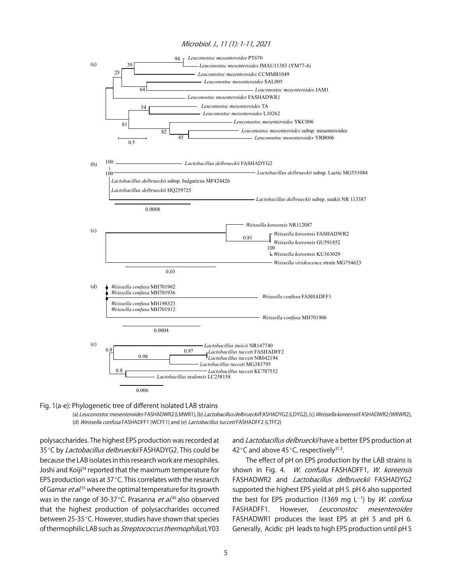#### Microbiol. J., 11 (1): 1-11, 2021



Fig. 1(a-e): Phylogenetic tree of different isolated LAB strains

(a) Leuconostoc mesenteroides FASHADWR2 (LMWR1), (b) Lactobacillus delbrueckiiFASHADYG2 (LDYG2), (c) Weissella koreensisFASHADWR2 (WKWR2), (d) Weissella confusa FASHADFF1 (WCFF1) and (e) Lactobacillus tucceti FASHADFF2 (LTFF2)

polysaccharides. The highest EPS production was recorded at 35°C by Lactobacillus delbrueckii FASHADYG2. This could be because the LAB isolates in this research work are mesophiles. Joshi and Koiji<sup>34</sup> reported that the maximum temperature for EPS production was at  $37^{\circ}$ C. This correlates with the research of Gamar *et al.*<sup>35</sup> where the optimal temperature for its growth was in the range of 30-37°C. Prasanna *et al*.<sup>36</sup> also observed that the highest production of polysaccharides occurred between 25-35°C. However, studies have shown that species of thermophilic LAB such as Streptococcus thermophilus LY03 and Lactobacillus delbrueckii have a better EPS production at 42°C and above 45°C, respectively<sup>37,3</sup>.

The effect of pH on EPS production by the LAB strains is shown in Fig. 4. W. confusa FASHADFF1, W. koreensis FASHADWR2 and Lactobacillus delbrueckii FASHADYG2 supported the highest EPS yield at pH 5. pH 6 also supported the best for EPS production (1369 mg  $L^{-1}$ ) by *W. confusa* FASHADFF1. However, Leuconostoc mesenteroides FASHADWR1 produces the least EPS at pH 5 and pH 6. Generally, Acidic pH leads to high EPS production until pH 5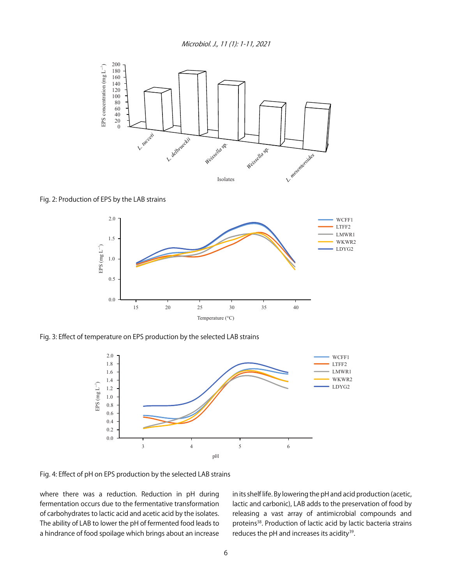

Fig. 2: Production of EPS by the LAB strains



Fig. 3: Effect of temperature on EPS production by the selected LAB strains



Fig. 4: Effect of pH on EPS production by the selected LAB strains

where there was a reduction. Reduction in pH during fermentation occurs due to the fermentative transformation of carbohydrates to lactic acid and acetic acid by the isolates. The ability of LAB to lower the pH of fermented food leads to a hindrance of food spoilage which brings about an increase in its shelf life. By lowering the pH and acid production (acetic, lactic and carbonic), LAB adds to the preservation of food by releasing a vast array of antimicrobial compounds and proteins<sup>38</sup>. Production of lactic acid by lactic bacteria strains reduces the pH and increases its acidity<sup>39</sup>.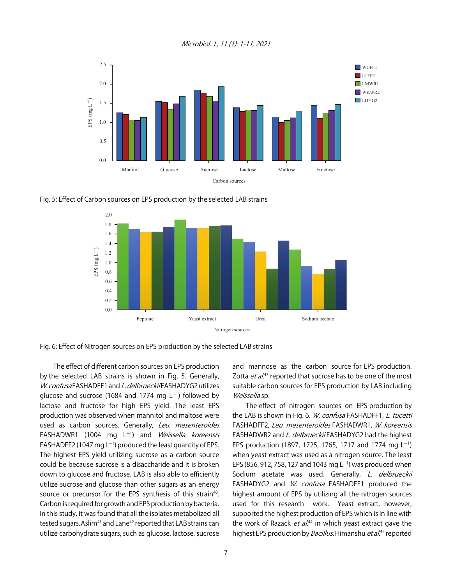Microbiol. J., 11 (1): 1-11, 2021







Fig. 6: Effect of Nitrogen sources on EPS production by the selected LAB strains

The effect of different carbon sources on EPS production by the selected LAB strains is shown in Fig. 5. Generally, W. confusa FASHADFF1 and L. delbrueckii FASHADYG2 utilizes glucose and sucrose (1684 and 1774 mg  $L^{-1}$ ) followed by lactose and fructose for high EPS yield. The least EPS production was observed when mannitol and maltose were used as carbon sources. Generally, Leu. mesenteroides FASHADWR1 (1004 mg L<sup>-1</sup>) and *Weissella koreensis* FASHADFF2 (1047 mg L<sup>-1</sup>) produced the least quantity of EPS. The highest EPS yield utilizing sucrose as a carbon source could be because sucrose is a disaccharide and it is broken down to glucose and fructose. LAB is also able to efficiently utilize sucrose and glucose than other sugars as an energy source or precursor for the EPS synthesis of this strain<sup>40</sup>. Carbon is required for growth and EPS production by bacteria. In this study, it was found that all the isolates metabolized all tested sugars. Aslim<sup>41</sup> and Lane<sup>42</sup> reported that LAB strains can utilize carbohydrate sugars, such as glucose, lactose, sucrose

and mannose as the carbon source for EPS production. Zotta et al.<sup>43</sup> reported that sucrose has to be one of the most suitable carbon sources for EPS production by LAB including Weissella sp.

The effect of nitrogen sources on EPS production by the LAB is shown in Fig. 6. W. confusa FASHADFF1, L. tucetti FASHADFF2, Leu. mesenteroides FASHADWR1, W. koreensis FASHADWR2 and L. delbrueckii FASHADYG2 had the highest EPS production (1897, 1725, 1765, 1717 and 1774 mg L<sup>-1</sup>) when yeast extract was used as a nitrogen source. The least EPS (856, 912, 758, 127 and 1043 mg L<sup>-1</sup>) was produced when Sodium acetate was used. Generally, L. delbrueckii FASHADYG2 and W. confusa FASHADFF1 produced the highest amount of EPS by utilizing all the nitrogen sources used for this research work. Yeast extract, however, supported the highest production of EPS which is in line with the work of Razack *et al*.<sup>44</sup> in which yeast extract gave the highest EPS production by *Bacillus.* Himanshu *et al*.<sup>45</sup> reported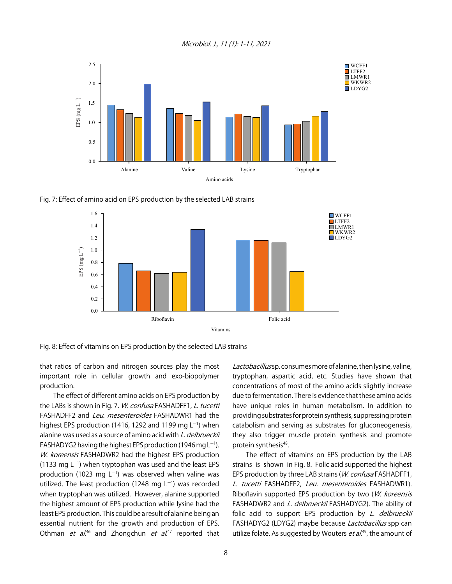Microbiol. J., 11 (1): 1-11, 2021



Fig. 7: Effect of amino acid on EPS production by the selected LAB strains



Fig. 8: Effect of vitamins on EPS production by the selected LAB strains

that ratios of carbon and nitrogen sources play the most important role in cellular growth and exo-biopolymer production.

The effect of different amino acids on EPS production by the LABs is shown in Fig. 7. W. confusa FASHADFF1, L. tucetti FASHADFF2 and Leu. mesenteroides FASHADWR1 had the highest EPS production (1416, 1292 and 1199 mg  $L^{-1}$ ) when alanine was used as a source of amino acid with L. delbrueckii  $FASHADYG2$  having the highest EPS production (1946 mg L $^{-1}$ ). W. koreensis FASHADWR2 had the highest EPS production  $(1133 \text{ mg } L^{-1})$  when tryptophan was used and the least EPS production (1023 mg L<sup>-1</sup>) was observed when valine was utilized. The least production (1248 mg  $L^{-1}$ ) was recorded when tryptophan was utilized. However, alanine supported the highest amount of EPS production while lysine had the least EPS production. This could be a result of alanine being an essential nutrient for the growth and production of EPS. Othman *et al*.<sup>46</sup> and Zhongchun *et al*.<sup>47</sup> reported that

Lactobacillus sp. consumes more of alanine, then lysine, valine, tryptophan, aspartic acid, etc. Studies have shown that concentrations of most of the amino acids slightly increase due to fermentation. There is evidence that these amino acids have unique roles in human metabolism. In addition to providing substrates for protein synthesis, suppressing protein catabolism and serving as substrates for gluconeogenesis, they also trigger muscle protein synthesis and promote protein synthesis<sup>48</sup>.

The effect of vitamins on EPS production by the LAB strains is shown in Fig. 8. Folic acid supported the highest EPS production by three LAB strains (W. confusa FASHADFF1, L. tucetti FASHADFF2, Leu. mesenteroides FASHADWR1). Riboflavin supported EPS production by two (W. koreensis FASHADWR2 and L. delbrueckii FASHADYG2). The ability of folic acid to support EPS production by L. delbrueckii FASHADYG2 (LDYG2) maybe because *Lactobacillus* spp can utilize folate. As suggested by Wouters *et al.*<sup>49</sup>, the amount of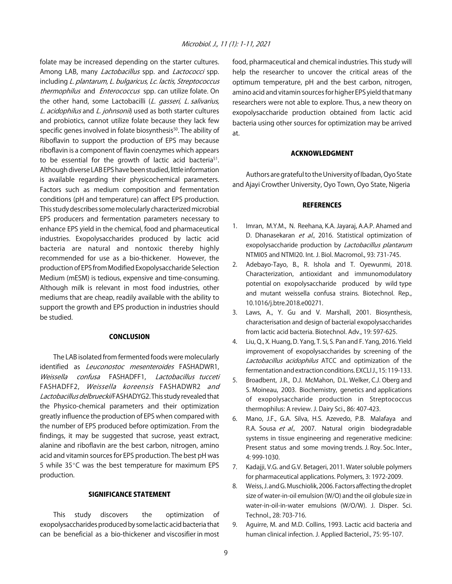folate may be increased depending on the starter cultures. Among LAB, many *Lactobacillus* spp. and *Lactococci* spp. including L. plantarum, L. bulgaricus, Lc. lactis, Streptococcus thermophilus and *Enterococcus* spp. can utilize folate. On the other hand, some Lactobacilli (L. gasseri, L. salivarius, L. acidophilus and L. johnsonii) used as both starter cultures and probiotics, cannot utilize folate because they lack few specific genes involved in folate biosynthesis<sup>50</sup>. The ability of Riboflavin to support the production of EPS may because riboflavin is a component of flavin coenzymes which appears to be essential for the growth of lactic acid bacteria<sup>51</sup>. Although diverse LAB EPS have been studied, little information is available regarding their physicochemical parameters. Factors such as medium composition and fermentation conditions (pH and temperature) can affect EPS production. This study describes some molecularly characterized microbial EPS producers and fermentation parameters necessary to enhance EPS yield in the chemical, food and pharmaceutical industries. Exopolysaccharides produced by lactic acid bacteria are natural and nontoxic thereby highly recommended for use as a bio-thickener. However, the production of EPS from Modified Exopolysaccharide Selection Medium (mESM) is tedious, expensive and time-consuming. Although milk is relevant in most food industries, other mediums that are cheap, readily available with the ability to support the growth and EPS production in industries should be studied.

#### CONCLUSION

The LAB isolated from fermented foods were molecularly identified as Leuconostoc mesenteroides FASHADWR1, Weissella confusa FASHADFF1, Lactobacillus tucceti FASHADFF2, Weissella koreensis FASHADWR2 and Lactobacillus delbrueckii FASHADYG2. This study revealed that the Physico-chemical parameters and their optimization greatly influence the production of EPS when compared with the number of EPS produced before optimization. From the findings, it may be suggested that sucrose, yeast extract, alanine and riboflavin are the best carbon, nitrogen, amino acid and vitamin sources for EPS production. The best pH was 5 while  $35^{\circ}$ C was the best temperature for maximum EPS production.

#### SIGNIFICANCE STATEMENT

This study discovers the optimization of exopolysaccharides produced by some lactic acid bacteria that can be beneficial as a bio-thickener and viscosifier in most food, pharmaceutical and chemical industries. This study will help the researcher to uncover the critical areas of the optimum temperature, pH and the best carbon, nitrogen, amino acid and vitamin sources for higher EPS yield that many researchers were not able to explore. Thus, a new theory on exopolysaccharide production obtained from lactic acid bacteria using other sources for optimization may be arrived at.

#### ACKNOWLEDGMENT

Authors are grateful to the University of Ibadan, Oyo State and Ajayi Crowther University, Oyo Town, Oyo State, Nigeria

#### **REFERENCES**

- 1. Imran, M.Y.M., N. Reehana, K.A. Jayaraj, A.A.P. Ahamed and D. Dhanasekaran et al., 2016. Statistical optimization of exopolysaccharide production by *Lactobacillus plantarum* NTMI05 and NTMI20. Int. J. Biol. Macromol., 93: 731-745.
- 2. Adebayo-Tayo, B., R. Ishola and T. Oyewunmi, 2018. Characterization, antioxidant and immunomodulatory potential on exopolysaccharide produced by wild type and mutant weissella confusa strains. Biotechnol. Rep., 10.1016/j.btre.2018.e00271.
- 3. Laws, A., Y. Gu and V. Marshall, 2001. Biosynthesis, characterisation and design of bacterial exopolysaccharides from lactic acid bacteria. Biotechnol. Adv., 19: 597-625.
- 4. Liu, Q., X. Huang, D. Yang, T. Si, S. Pan and F. Yang, 2016. Yield improvement of exopolysaccharides by screening of the Lactobacillus acidophilus ATCC and optimization of the fermentation and extraction conditions. EXCLI J., 15: 119-133.
- 5. Broadbent, J.R., D.J. McMahon, D.L. Welker, C.J. Oberg and S. Moineau, 2003. Biochemistry, genetics and applications of exopolysaccharide production in Streptococcus thermophilus: A review. J. Dairy Sci., 86: 407-423.
- 6. Mano, J.F., G.A. Silva, H.S. Azevedo, P.B. Malafaya and R.A. Sousa et al., 2007. Natural origin biodegradable systems in tissue engineering and regenerative medicine: Present status and some moving trends. J. Roy. Soc. Inter., 4: 999-1030.
- 7. Kadajji, V.G. and G.V. Betageri, 2011. Water soluble polymers for pharmaceutical applications. Polymers, 3: 1972-2009.
- 8. Weiss, J. and G. Muschiolik, 2006. Factors affecting the droplet size of water-in-oil emulsion (W/O) and the oil globule size in water-in-oil-in-water emulsions (W/O/W). J. Disper. Sci. Technol., 28: 703-716.
- 9. Aguirre, M. and M.D. Collins, 1993. Lactic acid bacteria and human clinical infection. J. Applied Bacteriol., 75: 95-107.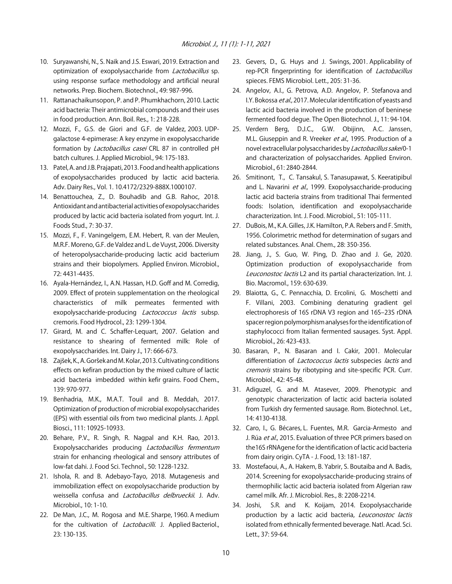- 10. Suryawanshi, N., S. Naik and J.S. Eswari, 2019. Extraction and optimization of exopolysaccharide from *Lactobacillus* sp. using response surface methodology and artificial neural networks. Prep. Biochem. Biotechnol., 49: 987-996.
- 11. Rattanachaikunsopon, P. and P. Phumkhachorn, 2010. Lactic acid bacteria: Their antimicrobial compounds and their uses in food production. Ann. Boil. Res., 1: 218-228.
- 12. Mozzi, F., G.S. de Giori and G.F. de Valdez, 2003. UDPgalactose 4-epimerase: A key enzyme in exopolysaccharide formation by *Lactobacillus casei* CRL 87 in controlled pH batch cultures. J. Applied Microbiol., 94: 175-183.
- 13. Patel, A. and J.B. Prajapati, 2013. Food and health applications of exopolysaccharides produced by lactic acid bacteria. Adv. Dairy Res., Vol. 1. 10.4172/2329-888X.1000107.
- 14. Benattouchea, Z., D. Bouhadib and G.B. Rahoc, 2018. Antioxidant and antibacterial activities of exopolysaccharides produced by lactic acid bacteria isolated from yogurt. Int. J. Foods Stud., 7: 30-37.
- 15. Mozzi, F., F. Vaningelgem, E.M. Hebert, R. van der Meulen, M.R.F. Moreno, G.F. de Valdez and L. de Vuyst, 2006. Diversity of heteropolysaccharide-producing lactic acid bacterium strains and their biopolymers. Applied Environ. Microbiol., 72: 4431-4435.
- 16. Ayala-Hernández, I., A.N. Hassan, H.D. Goff and M. Corredig, 2009. Effect of protein supplementation on the rheological characteristics of milk permeates fermented with exopolysaccharide-producing *Lactococcus lactis* subsp. cremoris. Food Hydrocol., 23: 1299-1304.
- 17. Girard, M. and C. Schaffer-Lequart, 2007. Gelation and resistance to shearing of fermented milk: Role of exopolysaccharides. Int. Dairy J., 17: 666-673.
- 18. Zajšek, K., A. Goršek and M. Kolar, 2013. Cultivating conditions effects on kefiran production by the mixed culture of lactic acid bacteria imbedded within kefir grains. Food Chem., 139: 970-977.
- 19. Benhadria, M.K., M.A.T. Touil and B. Meddah, 2017. Optimization of production of microbial exopolysaccharides (EPS) with essential oils from two medicinal plants. J. Appl. Biosci., 111: 10925-10933.
- 20. Behare, P.V., R. Singh, R. Nagpal and K.H. Rao, 2013. Exopolysaccharides producing Lactobacillus fermentum strain for enhancing rheological and sensory attributes of low-fat dahi. J. Food Sci. Technol., 50: 1228-1232.
- 21. Ishola, R. and B. Adebayo-Tayo, 2018. Mutagenesis and immobilization effect on exopolysaccharide production by weissella confusa and *Lactobacillus delbrueckii*. J. Adv. Microbiol., 10: 1-10.
- 22. De Man, J.C., M. Rogosa and M.E. Sharpe, 1960. A medium for the cultivation of *Lactobacilli*. J. Applied Bacteriol., 23: 130-135.
- 23. Gevers, D., G. Huys and J. Swings, 2001. Applicability of rep-PCR fingerprinting for identification of Lactobacillus spieces. FEMS Microbiol. Lett., 205: 31-36.
- 24. Angelov, A.I., G. Petrova, A.D. Angelov, P. Stefanova and I.Y. Bokossa et al., 2017. Molecular identification of yeasts and lactic acid bacteria involved in the production of beninese fermented food degue. The Open Biotechnol. J., 11: 94-104.
- 25. Verdern Berg, D.J.C., G.W. Obijinn, A.C. Janssen, M.L. Giuseppin and R. Vreeker et al., 1995. Production of a novel extracellular polysaccharides by Lactobacillus sakei0-1 and characterization of polysaccharides. Applied Environ. Microbiol., 61: 2840-2844.
- 26. Smitinont, T., C. Tansakul, S. Tanasupawat, S. Keeratipibul and L. Navarini et al., 1999. Exopolysaccharide-producing lactic acid bacteria strains from traditional Thai fermented foods: Isolation, identification and exopolysaccharide characterization. Int. J. Food. Microbiol., 51: 105-111.
- 27. DuBois, M., K.A. Gilles, J.K. Hamilton, P.A. Rebers and F. Smith, 1956. Colorimetric method for determination of sugars and related substances. Anal. Chem., 28: 350-356.
- 28. Jiang, J., S. Guo, W. Ping, D. Zhao and J. Ge, 2020. Optimization production of exopolysaccharide from Leuconostoc lactis L2 and its partial characterization. Int. J. Bio. Macromol., 159: 630-639.
- 29. Blaiotta, G., C. Pennacchia, D. Ercolini, G. Moschetti and F. Villani, 2003. Combining denaturing gradient gel electrophoresis of 16S rDNA V3 region and 16S-23S rDNA spacer region polymorphism analyses for the identification of staphylococci from Italian fermented sausages. Syst. Appl. Microbiol., 26: 423-433.
- 30. Basaran, P., N. Basaran and I. Cakir, 2001. Molecular differentiation of *Lactococcus lactis* subspecies *lactis* and cremoris strains by ribotyping and site-specific PCR. Curr. Microbiol., 42: 45-48.
- 31. Adiguzel, G. and M. Atasever, 2009. Phenotypic and genotypic characterization of lactic acid bacteria isolated from Turkish dry fermented sausage. Rom. Biotechnol. Let., 14: 4130-4138.
- 32. Caro, I., G. Bécares, L. Fuentes, M.R. Garcia-Armesto and J. Rúa et al., 2015. Evaluation of three PCR primers based on the16S rRNAgene for the identification of lactic acid bacteria from dairy origin. CyTA - J. Food, 13: 181-187.
- 33. Mostefaoui, A., A. Hakem, B. Yabrir, S. Boutaiba and A. Badis, 2014. Screening for exopolysaccharide-producing strains of thermophilic lactic acid bacteria isolated from Algerian raw camel milk. Afr. J. Microbiol. Res., 8: 2208-2214.
- 34. Joshi, S.R. and K. Koijam, 2014. Exopolysaccharide production by a lactic acid bacteria, Leuconostoc lactis isolated from ethnically fermented beverage. Natl. Acad. Sci. Lett., 37: 59-64.